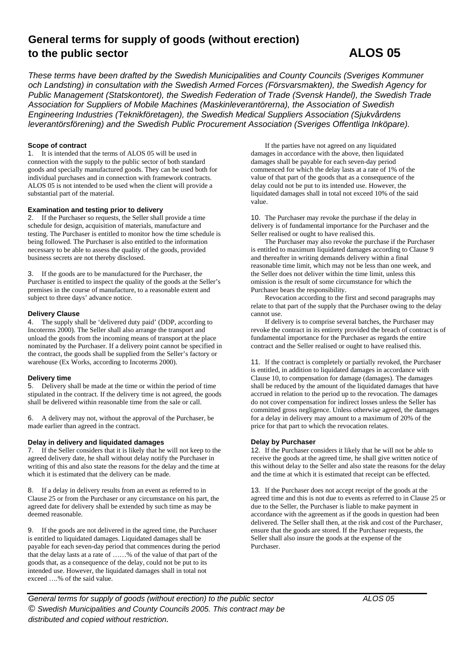# **General terms for supply of goods (without erection) to the public sector ALOS 05**

*These terms have been drafted by the Swedish Municipalities and County Councils (Sveriges Kommuner och Landsting) in consultation with the Swedish Armed Forces (Försvarsmakten), the Swedish Agency for Public Management (Statskontoret), the Swedish Federation of Trade (Svensk Handel), the Swedish Trade Association for Suppliers of Mobile Machines (Maskinleverantörerna), the Association of Swedish Engineering Industries (Teknikföretagen), the Swedish Medical Suppliers Association (Sjukvårdens leverantörsförening) and the Swedish Public Procurement Association (Sveriges Offentliga Inköpare).* 

# **Scope of contract**

1. It is intended that the terms of ALOS 05 will be used in connection with the supply to the public sector of both standard goods and specially manufactured goods. They can be used both for individual purchases and in connection with framework contracts. ALOS 05 is not intended to be used when the client will provide a substantial part of the material.

# **Examination and testing prior to delivery**

2. If the Purchaser so requests, the Seller shall provide a time schedule for design, acquisition of materials, manufacture and testing. The Purchaser is entitled to monitor how the time schedule is being followed. The Purchaser is also entitled to the information necessary to be able to assess the quality of the goods, provided business secrets are not thereby disclosed.

3. If the goods are to be manufactured for the Purchaser, the Purchaser is entitled to inspect the quality of the goods at the Seller's premises in the course of manufacture, to a reasonable extent and subject to three days' advance notice.

### **Delivery Clause**

4. The supply shall be 'delivered duty paid' (DDP, according to Incoterms 2000). The Seller shall also arrange the transport and unload the goods from the incoming means of transport at the place nominated by the Purchaser. If a delivery point cannot be specified in the contract, the goods shall be supplied from the Seller's factory or warehouse (Ex Works, according to Incoterms 2000).

### **Delivery time**

5. Delivery shall be made at the time or within the period of time stipulated in the contract. If the delivery time is not agreed, the goods shall be delivered within reasonable time from the sale or call.

6. A delivery may not, without the approval of the Purchaser, be made earlier than agreed in the contract.

### **Delay in delivery and liquidated damages**

7. If the Seller considers that it is likely that he will not keep to the agreed delivery date, he shall without delay notify the Purchaser in writing of this and also state the reasons for the delay and the time at which it is estimated that the delivery can be made.

8. If a delay in delivery results from an event as referred to in Clause 25 or from the Purchaser or any circumstance on his part, the agreed date for delivery shall be extended by such time as may be deemed reasonable.

9. If the goods are not delivered in the agreed time, the Purchaser is entitled to liquidated damages. Liquidated damages shall be payable for each seven-day period that commences during the period that the delay lasts at a rate of ……% of the value of that part of the goods that, as a consequence of the delay, could not be put to its intended use. However, the liquidated damages shall in total not exceed ….% of the said value.

 If the parties have not agreed on any liquidated damages in accordance with the above, then liquidated damages shall be payable for each seven-day period commenced for which the delay lasts at a rate of 1% of the value of that part of the goods that as a consequence of the delay could not be put to its intended use. However, the liquidated damages shall in total not exceed 10% of the said value.

10. The Purchaser may revoke the purchase if the delay in delivery is of fundamental importance for the Purchaser and the Seller realised or ought to have realised this.

 The Purchaser may also revoke the purchase if the Purchaser is entitled to maximum liquidated damages according to Clause 9 and thereafter in writing demands delivery within a final reasonable time limit, which may not be less than one week, and the Seller does not deliver within the time limit, unless this omission is the result of some circumstance for which the Purchaser bears the responsibility.

 Revocation according to the first and second paragraphs may relate to that part of the supply that the Purchaser owing to the delay cannot use.

 If delivery is to comprise several batches, the Purchaser may revoke the contract in its entirety provided the breach of contract is of fundamental importance for the Purchaser as regards the entire contract and the Seller realised or ought to have realised this.

11. If the contract is completely or partially revoked, the Purchaser is entitled, in addition to liquidated damages in accordance with Clause 10, to compensation for damage (damages). The damages shall be reduced by the amount of the liquidated damages that have accrued in relation to the period up to the revocation. The damages do not cover compensation for indirect losses unless the Seller has committed gross negligence. Unless otherwise agreed, the damages for a delay in delivery may amount to a maximum of 20% of the price for that part to which the revocation relates.

### **Delay by Purchaser**

12. If the Purchaser considers it likely that he will not be able to receive the goods at the agreed time, he shall give written notice of this without delay to the Seller and also state the reasons for the delay and the time at which it is estimated that receipt can be effected.

13. If the Purchaser does not accept receipt of the goods at the agreed time and this is not due to events as referred to in Clause 25 or due to the Seller, the Purchaser is liable to make payment in accordance with the agreement as if the goods in question had been delivered. The Seller shall then, at the risk and cost of the Purchaser, ensure that the goods are stored. If the Purchaser requests, the Seller shall also insure the goods at the expense of the Purchaser.

*General terms for supply of goods (without erection) to the public sector ALOS 05 © Swedish Municipalities and County Councils 2005. This contract may be distributed and copied without restriction.*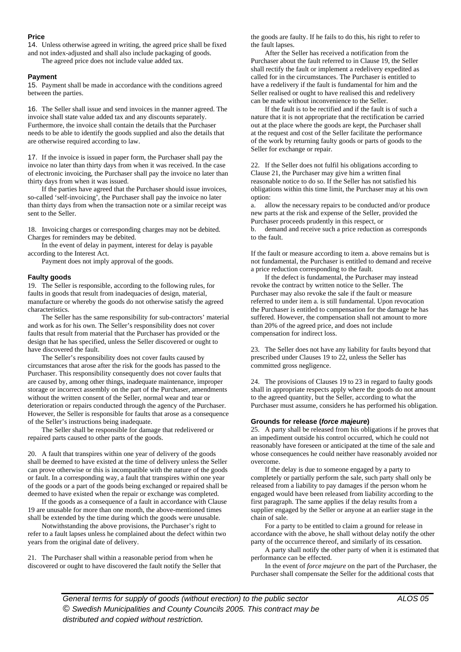# **Price**

14. Unless otherwise agreed in writing, the agreed price shall be fixed and not index-adjusted and shall also include packaging of goods.

The agreed price does not include value added tax.

#### **Payment**

15. Payment shall be made in accordance with the conditions agreed between the parties.

16. The Seller shall issue and send invoices in the manner agreed. The invoice shall state value added tax and any discounts separately. Furthermore, the invoice shall contain the details that the Purchaser needs to be able to identify the goods supplied and also the details that are otherwise required according to law.

17. If the invoice is issued in paper form, the Purchaser shall pay the invoice no later than thirty days from when it was received. In the case of electronic invoicing, the Purchaser shall pay the invoice no later than thirty days from when it was issued.

 If the parties have agreed that the Purchaser should issue invoices, so-called 'self-invoicing', the Purchaser shall pay the invoice no later than thirty days from when the transaction note or a similar receipt was sent to the Seller.

18. Invoicing charges or corresponding charges may not be debited. Charges for reminders may be debited.

 In the event of delay in payment, interest for delay is payable according to the Interest Act.

Payment does not imply approval of the goods.

# **Faulty goods**

19. The Seller is responsible, according to the following rules, for faults in goods that result from inadequacies of design, material, manufacture or whereby the goods do not otherwise satisfy the agreed characteristics.

 The Seller has the same responsibility for sub-contractors' material and work as for his own. The Seller's responsibility does not cover faults that result from material that the Purchaser has provided or the design that he has specified, unless the Seller discovered or ought to have discovered the fault.

 The Seller's responsibility does not cover faults caused by circumstances that arose after the risk for the goods has passed to the Purchaser. This responsibility consequently does not cover faults that are caused by, among other things, inadequate maintenance, improper storage or incorrect assembly on the part of the Purchaser, amendments without the written consent of the Seller, normal wear and tear or deterioration or repairs conducted through the agency of the Purchaser. However, the Seller is responsible for faults that arose as a consequence of the Seller's instructions being inadequate.

 The Seller shall be responsible for damage that redelivered or repaired parts caused to other parts of the goods.

20. A fault that transpires within one year of delivery of the goods shall be deemed to have existed at the time of delivery unless the Seller can prove otherwise or this is incompatible with the nature of the goods or fault. In a corresponding way, a fault that transpires within one year of the goods or a part of the goods being exchanged or repaired shall be deemed to have existed when the repair or exchange was completed.

 If the goods as a consequence of a fault in accordance with Clause 19 are unusable for more than one month, the above-mentioned times shall be extended by the time during which the goods were unusable.

 Notwithstanding the above provisions, the Purchaser's right to refer to a fault lapses unless he complained about the defect within two years from the original date of delivery.

21. The Purchaser shall within a reasonable period from when he discovered or ought to have discovered the fault notify the Seller that the goods are faulty. If he fails to do this, his right to refer to the fault lapses.

 After the Seller has received a notification from the Purchaser about the fault referred to in Clause 19, the Seller shall rectify the fault or implement a redelivery expedited as called for in the circumstances. The Purchaser is entitled to have a redelivery if the fault is fundamental for him and the Seller realised or ought to have realised this and redelivery can be made without inconvenience to the Seller.

 If the fault is to be rectified and if the fault is of such a nature that it is not appropriate that the rectification be carried out at the place where the goods are kept, the Purchaser shall at the request and cost of the Seller facilitate the performance of the work by returning faulty goods or parts of goods to the Seller for exchange or repair.

22. If the Seller does not fulfil his obligations according to Clause 21, the Purchaser may give him a written final reasonable notice to do so. If the Seller has not satisfied his obligations within this time limit, the Purchaser may at his own option:

a. allow the necessary repairs to be conducted and/or produce new parts at the risk and expense of the Seller, provided the Purchaser proceeds prudently in this respect, or

b. demand and receive such a price reduction as corresponds to the fault.

If the fault or measure according to item a. above remains but is not fundamental, the Purchaser is entitled to demand and receive a price reduction corresponding to the fault.

 If the defect is fundamental, the Purchaser may instead revoke the contract by written notice to the Seller. The Purchaser may also revoke the sale if the fault or measure referred to under item a. is still fundamental. Upon revocation the Purchaser is entitled to compensation for the damage he has suffered. However, the compensation shall not amount to more than 20% of the agreed price, and does not include compensation for indirect loss.

23. The Seller does not have any liability for faults beyond that prescribed under Clauses 19 to 22, unless the Seller has committed gross negligence.

24. The provisions of Clauses 19 to 23 in regard to faulty goods shall in appropriate respects apply where the goods do not amount to the agreed quantity, but the Seller, according to what the Purchaser must assume, considers he has performed his obligation.

#### **Grounds for release (***force majeure***)**

25. A party shall be released from his obligations if he proves that an impediment outside his control occurred, which he could not reasonably have foreseen or anticipated at the time of the sale and whose consequences he could neither have reasonably avoided nor overcome.

 If the delay is due to someone engaged by a party to completely or partially perform the sale, such party shall only be released from a liability to pay damages if the person whom he engaged would have been released from liability according to the first paragraph. The same applies if the delay results from a supplier engaged by the Seller or anyone at an earlier stage in the chain of sale.

 For a party to be entitled to claim a ground for release in accordance with the above, he shall without delay notify the other party of the occurrence thereof, and similarly of its cessation.

 A party shall notify the other party of when it is estimated that performance can be effected.

 In the event of *force majeure* on the part of the Purchaser, the Purchaser shall compensate the Seller for the additional costs that

*General terms for supply of goods (without erection) to the public sector ALOS 05 © Swedish Municipalities and County Councils 2005. This contract may be distributed and copied without restriction.*